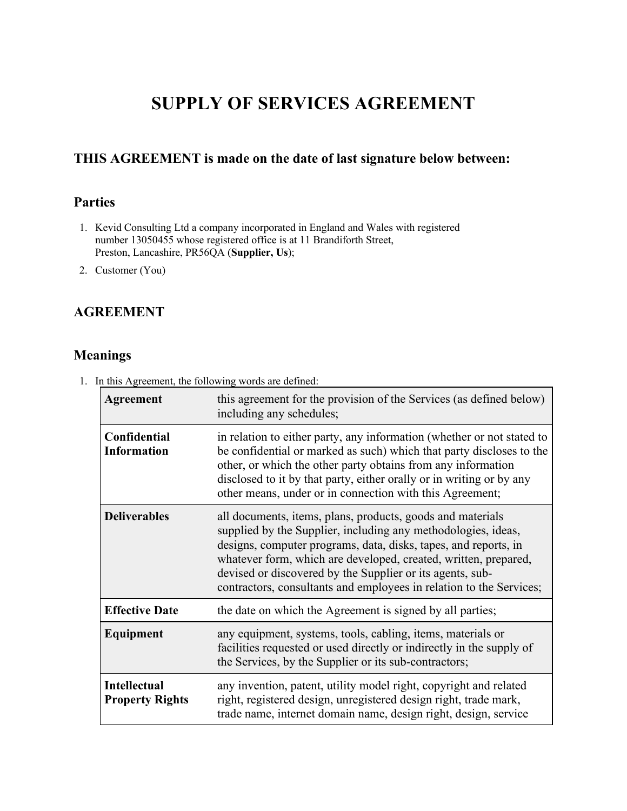# **SUPPLY OF SERVICES AGREEMENT**

# **THIS AGREEMENT is made on the date of last signature below between:**

# **Parties**

- 1. Kevid Consulting Ltd a company incorporated in England and Wales with registered number 13050455 whose registered office is at 11 Brandiforth Street, Preston, Lancashire, PR56QA (**Supplier, Us**);
- 2. Customer (You)

## **AGREEMENT**

#### **Meanings**

1. In this Agreement, the following words are defined:

| Agreement                                     | this agreement for the provision of the Services (as defined below)<br>including any schedules;                                                                                                                                                                                                                                                                                                       |
|-----------------------------------------------|-------------------------------------------------------------------------------------------------------------------------------------------------------------------------------------------------------------------------------------------------------------------------------------------------------------------------------------------------------------------------------------------------------|
| Confidential<br><b>Information</b>            | in relation to either party, any information (whether or not stated to<br>be confidential or marked as such) which that party discloses to the<br>other, or which the other party obtains from any information<br>disclosed to it by that party, either orally or in writing or by any<br>other means, under or in connection with this Agreement;                                                    |
| <b>Deliverables</b>                           | all documents, items, plans, products, goods and materials<br>supplied by the Supplier, including any methodologies, ideas,<br>designs, computer programs, data, disks, tapes, and reports, in<br>whatever form, which are developed, created, written, prepared,<br>devised or discovered by the Supplier or its agents, sub-<br>contractors, consultants and employees in relation to the Services; |
| <b>Effective Date</b>                         | the date on which the Agreement is signed by all parties;                                                                                                                                                                                                                                                                                                                                             |
| Equipment                                     | any equipment, systems, tools, cabling, items, materials or<br>facilities requested or used directly or indirectly in the supply of<br>the Services, by the Supplier or its sub-contractors;                                                                                                                                                                                                          |
| <b>Intellectual</b><br><b>Property Rights</b> | any invention, patent, utility model right, copyright and related<br>right, registered design, unregistered design right, trade mark,<br>trade name, internet domain name, design right, design, service                                                                                                                                                                                              |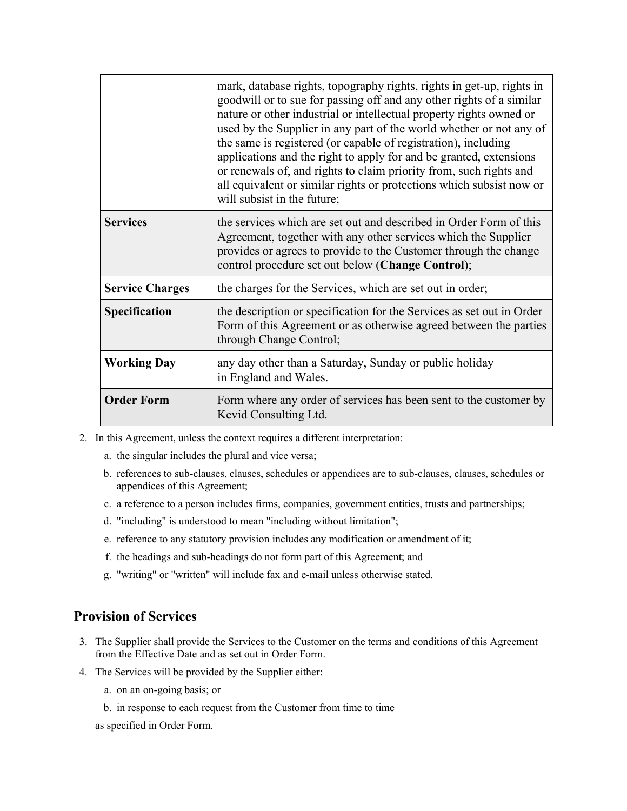|                        | mark, database rights, topography rights, rights in get-up, rights in<br>goodwill or to sue for passing off and any other rights of a similar<br>nature or other industrial or intellectual property rights owned or<br>used by the Supplier in any part of the world whether or not any of<br>the same is registered (or capable of registration), including<br>applications and the right to apply for and be granted, extensions<br>or renewals of, and rights to claim priority from, such rights and<br>all equivalent or similar rights or protections which subsist now or<br>will subsist in the future; |
|------------------------|------------------------------------------------------------------------------------------------------------------------------------------------------------------------------------------------------------------------------------------------------------------------------------------------------------------------------------------------------------------------------------------------------------------------------------------------------------------------------------------------------------------------------------------------------------------------------------------------------------------|
| <b>Services</b>        | the services which are set out and described in Order Form of this<br>Agreement, together with any other services which the Supplier<br>provides or agrees to provide to the Customer through the change<br>control procedure set out below (Change Control);                                                                                                                                                                                                                                                                                                                                                    |
| <b>Service Charges</b> | the charges for the Services, which are set out in order;                                                                                                                                                                                                                                                                                                                                                                                                                                                                                                                                                        |
| Specification          | the description or specification for the Services as set out in Order<br>Form of this Agreement or as otherwise agreed between the parties<br>through Change Control;                                                                                                                                                                                                                                                                                                                                                                                                                                            |
| <b>Working Day</b>     | any day other than a Saturday, Sunday or public holiday<br>in England and Wales.                                                                                                                                                                                                                                                                                                                                                                                                                                                                                                                                 |
| <b>Order Form</b>      | Form where any order of services has been sent to the customer by<br>Kevid Consulting Ltd.                                                                                                                                                                                                                                                                                                                                                                                                                                                                                                                       |

- 2. In this Agreement, unless the context requires a different interpretation:
	- a. the singular includes the plural and vice versa;
	- b. references to sub-clauses, clauses, schedules or appendices are to sub-clauses, clauses, schedules or appendices of this Agreement;
	- c. a reference to a person includes firms, companies, government entities, trusts and partnerships;
	- d. "including" is understood to mean "including without limitation";
	- e. reference to any statutory provision includes any modification or amendment of it;
	- f. the headings and sub-headings do not form part of this Agreement; and
	- g. "writing" or "written" will include fax and e-mail unless otherwise stated.

#### **Provision of Services**

- 3. The Supplier shall provide the Services to the Customer on the terms and conditions of this Agreement from the Effective Date and as set out in Order Form.
- 4. The Services will be provided by the Supplier either:
	- a. on an on-going basis; or
	- b. in response to each request from the Customer from time to time

as specified in Order Form.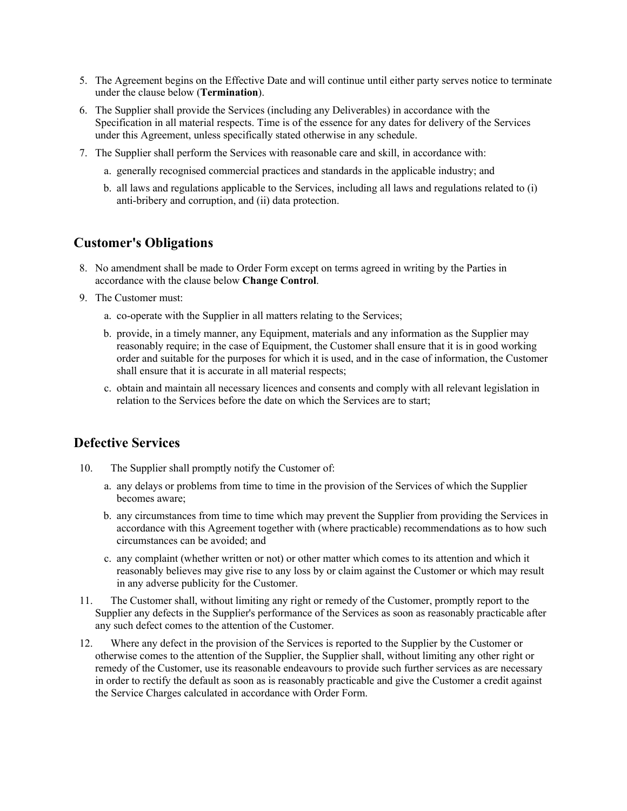- 5. The Agreement begins on the Effective Date and will continue until either party serves notice to terminate under the clause below (**Termination**).
- 6. The Supplier shall provide the Services (including any Deliverables) in accordance with the Specification in all material respects. Time is of the essence for any dates for delivery of the Services under this Agreement, unless specifically stated otherwise in any schedule.
- 7. The Supplier shall perform the Services with reasonable care and skill, in accordance with:
	- a. generally recognised commercial practices and standards in the applicable industry; and
	- b. all laws and regulations applicable to the Services, including all laws and regulations related to (i) anti-bribery and corruption, and (ii) data protection.

#### **Customer's Obligations**

- 8. No amendment shall be made to Order Form except on terms agreed in writing by the Parties in accordance with the clause below **Change Control**.
- 9. The Customer must:
	- a. co-operate with the Supplier in all matters relating to the Services;
	- b. provide, in a timely manner, any Equipment, materials and any information as the Supplier may reasonably require; in the case of Equipment, the Customer shall ensure that it is in good working order and suitable for the purposes for which it is used, and in the case of information, the Customer shall ensure that it is accurate in all material respects;
	- c. obtain and maintain all necessary licences and consents and comply with all relevant legislation in relation to the Services before the date on which the Services are to start;

#### **Defective Services**

- 10. The Supplier shall promptly notify the Customer of:
	- a. any delays or problems from time to time in the provision of the Services of which the Supplier becomes aware;
	- b. any circumstances from time to time which may prevent the Supplier from providing the Services in accordance with this Agreement together with (where practicable) recommendations as to how such circumstances can be avoided; and
	- c. any complaint (whether written or not) or other matter which comes to its attention and which it reasonably believes may give rise to any loss by or claim against the Customer or which may result in any adverse publicity for the Customer.
- 11. The Customer shall, without limiting any right or remedy of the Customer, promptly report to the Supplier any defects in the Supplier's performance of the Services as soon as reasonably practicable after any such defect comes to the attention of the Customer.
- 12. Where any defect in the provision of the Services is reported to the Supplier by the Customer or otherwise comes to the attention of the Supplier, the Supplier shall, without limiting any other right or remedy of the Customer, use its reasonable endeavours to provide such further services as are necessary in order to rectify the default as soon as is reasonably practicable and give the Customer a credit against the Service Charges calculated in accordance with Order Form.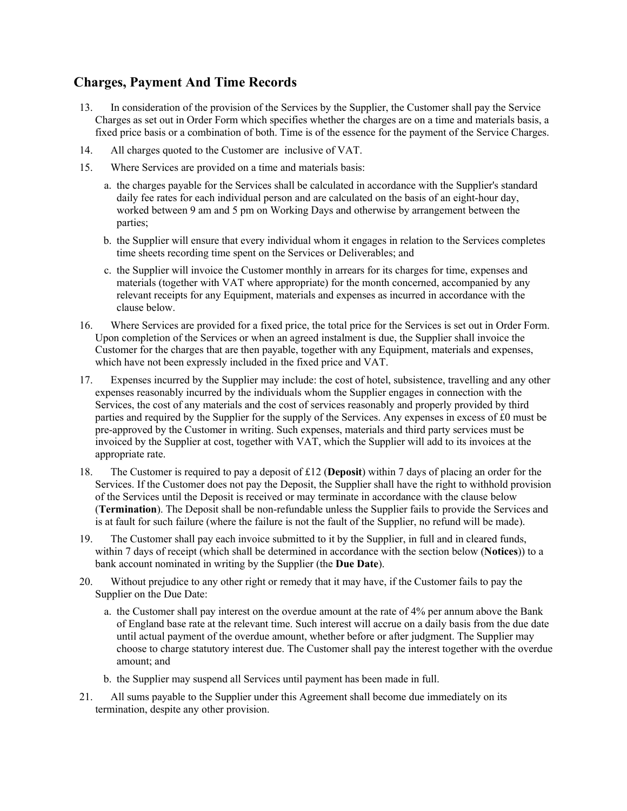# **Charges, Payment And Time Records**

- 13. In consideration of the provision of the Services by the Supplier, the Customer shall pay the Service Charges as set out in Order Form which specifies whether the charges are on a time and materials basis, a fixed price basis or a combination of both. Time is of the essence for the payment of the Service Charges.
- 14. All charges quoted to the Customer are inclusive of VAT.
- 15. Where Services are provided on a time and materials basis:
	- a. the charges payable for the Services shall be calculated in accordance with the Supplier's standard daily fee rates for each individual person and are calculated on the basis of an eight-hour day, worked between 9 am and 5 pm on Working Days and otherwise by arrangement between the parties;
	- b. the Supplier will ensure that every individual whom it engages in relation to the Services completes time sheets recording time spent on the Services or Deliverables; and
	- c. the Supplier will invoice the Customer monthly in arrears for its charges for time, expenses and materials (together with VAT where appropriate) for the month concerned, accompanied by any relevant receipts for any Equipment, materials and expenses as incurred in accordance with the clause below.
- 16. Where Services are provided for a fixed price, the total price for the Services is set out in Order Form. Upon completion of the Services or when an agreed instalment is due, the Supplier shall invoice the Customer for the charges that are then payable, together with any Equipment, materials and expenses, which have not been expressly included in the fixed price and VAT.
- 17. Expenses incurred by the Supplier may include: the cost of hotel, subsistence, travelling and any other expenses reasonably incurred by the individuals whom the Supplier engages in connection with the Services, the cost of any materials and the cost of services reasonably and properly provided by third parties and required by the Supplier for the supply of the Services. Any expenses in excess of £0 must be pre-approved by the Customer in writing. Such expenses, materials and third party services must be invoiced by the Supplier at cost, together with VAT, which the Supplier will add to its invoices at the appropriate rate.
- 18. The Customer is required to pay a deposit of £12 (**Deposit**) within 7 days of placing an order for the Services. If the Customer does not pay the Deposit, the Supplier shall have the right to withhold provision of the Services until the Deposit is received or may terminate in accordance with the clause below (**Termination**). The Deposit shall be non-refundable unless the Supplier fails to provide the Services and is at fault for such failure (where the failure is not the fault of the Supplier, no refund will be made).
- 19. The Customer shall pay each invoice submitted to it by the Supplier, in full and in cleared funds, within 7 days of receipt (which shall be determined in accordance with the section below (**Notices**)) to a bank account nominated in writing by the Supplier (the **Due Date**).
- 20. Without prejudice to any other right or remedy that it may have, if the Customer fails to pay the Supplier on the Due Date:
	- a. the Customer shall pay interest on the overdue amount at the rate of 4% per annum above the Bank of England base rate at the relevant time. Such interest will accrue on a daily basis from the due date until actual payment of the overdue amount, whether before or after judgment. The Supplier may choose to charge statutory interest due. The Customer shall pay the interest together with the overdue amount; and
	- b. the Supplier may suspend all Services until payment has been made in full.
- 21. All sums payable to the Supplier under this Agreement shall become due immediately on its termination, despite any other provision.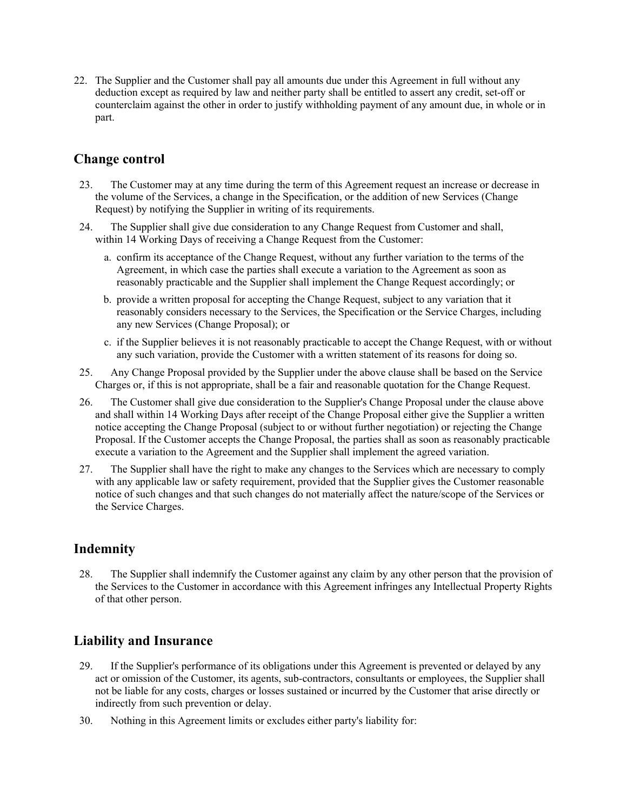22. The Supplier and the Customer shall pay all amounts due under this Agreement in full without any deduction except as required by law and neither party shall be entitled to assert any credit, set-off or counterclaim against the other in order to justify withholding payment of any amount due, in whole or in part.

## **Change control**

- 23. The Customer may at any time during the term of this Agreement request an increase or decrease in the volume of the Services, a change in the Specification, or the addition of new Services (Change Request) by notifying the Supplier in writing of its requirements.
- 24. The Supplier shall give due consideration to any Change Request from Customer and shall, within 14 Working Days of receiving a Change Request from the Customer:
	- a. confirm its acceptance of the Change Request, without any further variation to the terms of the Agreement, in which case the parties shall execute a variation to the Agreement as soon as reasonably practicable and the Supplier shall implement the Change Request accordingly; or
	- b. provide a written proposal for accepting the Change Request, subject to any variation that it reasonably considers necessary to the Services, the Specification or the Service Charges, including any new Services (Change Proposal); or
	- c. if the Supplier believes it is not reasonably practicable to accept the Change Request, with or without any such variation, provide the Customer with a written statement of its reasons for doing so.
- 25. Any Change Proposal provided by the Supplier under the above clause shall be based on the Service Charges or, if this is not appropriate, shall be a fair and reasonable quotation for the Change Request.
- 26. The Customer shall give due consideration to the Supplier's Change Proposal under the clause above and shall within 14 Working Days after receipt of the Change Proposal either give the Supplier a written notice accepting the Change Proposal (subject to or without further negotiation) or rejecting the Change Proposal. If the Customer accepts the Change Proposal, the parties shall as soon as reasonably practicable execute a variation to the Agreement and the Supplier shall implement the agreed variation.
- 27. The Supplier shall have the right to make any changes to the Services which are necessary to comply with any applicable law or safety requirement, provided that the Supplier gives the Customer reasonable notice of such changes and that such changes do not materially affect the nature/scope of the Services or the Service Charges.

# **Indemnity**

28. The Supplier shall indemnify the Customer against any claim by any other person that the provision of the Services to the Customer in accordance with this Agreement infringes any Intellectual Property Rights of that other person.

# **Liability and Insurance**

- 29. If the Supplier's performance of its obligations under this Agreement is prevented or delayed by any act or omission of the Customer, its agents, sub-contractors, consultants or employees, the Supplier shall not be liable for any costs, charges or losses sustained or incurred by the Customer that arise directly or indirectly from such prevention or delay.
- 30. Nothing in this Agreement limits or excludes either party's liability for: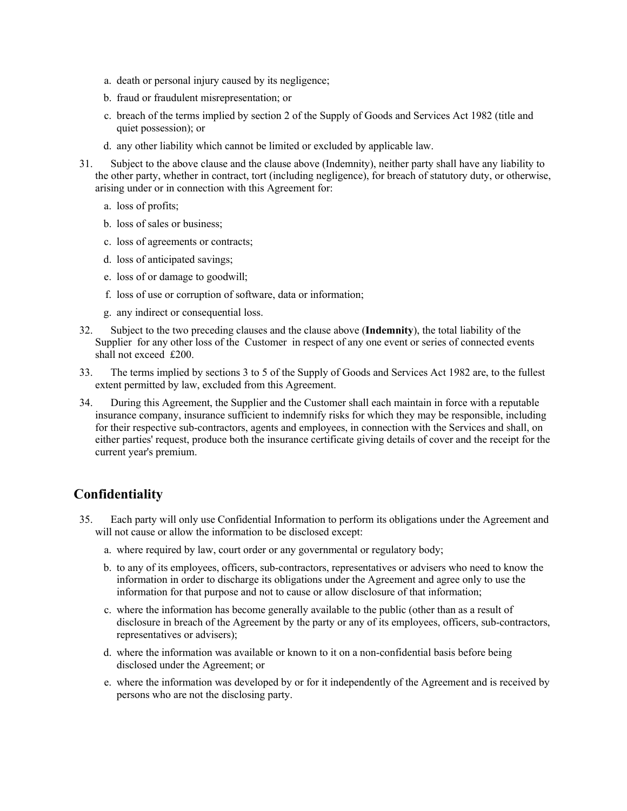- a. death or personal injury caused by its negligence;
- b. fraud or fraudulent misrepresentation; or
- c. breach of the terms implied by section 2 of the Supply of Goods and Services Act 1982 (title and quiet possession); or
- d. any other liability which cannot be limited or excluded by applicable law.
- 31. Subject to the above clause and the clause above (Indemnity), neither party shall have any liability to the other party, whether in contract, tort (including negligence), for breach of statutory duty, or otherwise, arising under or in connection with this Agreement for:
	- a. loss of profits;
	- b. loss of sales or business;
	- c. loss of agreements or contracts;
	- d. loss of anticipated savings;
	- e. loss of or damage to goodwill;
	- f. loss of use or corruption of software, data or information;
	- g. any indirect or consequential loss.
- 32. Subject to the two preceding clauses and the clause above (**Indemnity**), the total liability of the Supplier for any other loss of the Customer in respect of any one event or series of connected events shall not exceed £200.
- 33. The terms implied by sections 3 to 5 of the Supply of Goods and Services Act 1982 are, to the fullest extent permitted by law, excluded from this Agreement.
- 34. During this Agreement, the Supplier and the Customer shall each maintain in force with a reputable insurance company, insurance sufficient to indemnify risks for which they may be responsible, including for their respective sub-contractors, agents and employees, in connection with the Services and shall, on either parties' request, produce both the insurance certificate giving details of cover and the receipt for the current year's premium.

## **Confidentiality**

- 35. Each party will only use Confidential Information to perform its obligations under the Agreement and will not cause or allow the information to be disclosed except:
	- a. where required by law, court order or any governmental or regulatory body;
	- b. to any of its employees, officers, sub-contractors, representatives or advisers who need to know the information in order to discharge its obligations under the Agreement and agree only to use the information for that purpose and not to cause or allow disclosure of that information;
	- c. where the information has become generally available to the public (other than as a result of disclosure in breach of the Agreement by the party or any of its employees, officers, sub-contractors, representatives or advisers);
	- d. where the information was available or known to it on a non-confidential basis before being disclosed under the Agreement; or
	- e. where the information was developed by or for it independently of the Agreement and is received by persons who are not the disclosing party.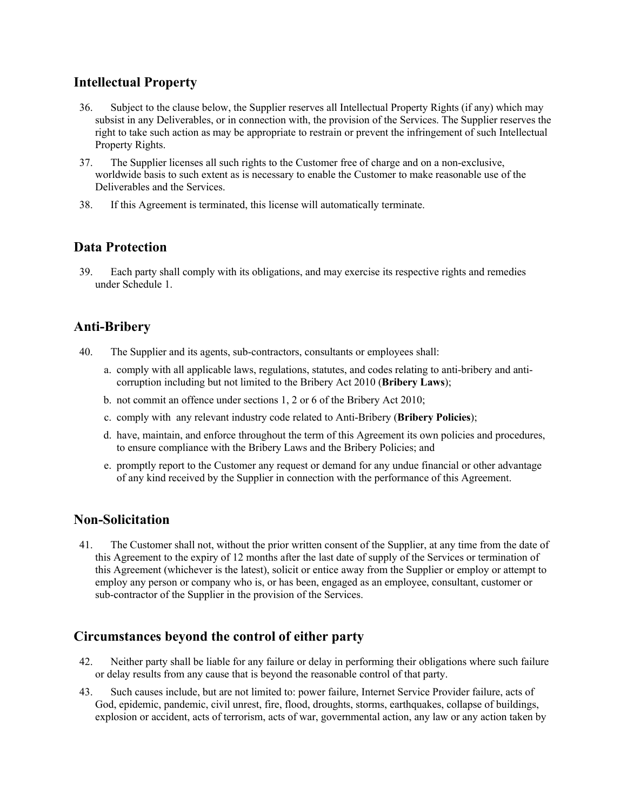## **Intellectual Property**

- 36. Subject to the clause below, the Supplier reserves all Intellectual Property Rights (if any) which may subsist in any Deliverables, or in connection with, the provision of the Services. The Supplier reserves the right to take such action as may be appropriate to restrain or prevent the infringement of such Intellectual Property Rights.
- 37. The Supplier licenses all such rights to the Customer free of charge and on a non-exclusive, worldwide basis to such extent as is necessary to enable the Customer to make reasonable use of the Deliverables and the Services.
- 38. If this Agreement is terminated, this license will automatically terminate.

## **Data Protection**

39. Each party shall comply with its obligations, and may exercise its respective rights and remedies under Schedule 1.

# **Anti-Bribery**

- 40. The Supplier and its agents, sub-contractors, consultants or employees shall:
	- a. comply with all applicable laws, regulations, statutes, and codes relating to anti-bribery and anticorruption including but not limited to the Bribery Act 2010 (**Bribery Laws**);
	- b. not commit an offence under sections 1, 2 or 6 of the Bribery Act 2010;
	- c. comply with any relevant industry code related to Anti-Bribery (**Bribery Policies**);
	- d. have, maintain, and enforce throughout the term of this Agreement its own policies and procedures, to ensure compliance with the Bribery Laws and the Bribery Policies; and
	- e. promptly report to the Customer any request or demand for any undue financial or other advantage of any kind received by the Supplier in connection with the performance of this Agreement.

## **Non-Solicitation**

41. The Customer shall not, without the prior written consent of the Supplier, at any time from the date of this Agreement to the expiry of 12 months after the last date of supply of the Services or termination of this Agreement (whichever is the latest), solicit or entice away from the Supplier or employ or attempt to employ any person or company who is, or has been, engaged as an employee, consultant, customer or sub-contractor of the Supplier in the provision of the Services.

## **Circumstances beyond the control of either party**

- 42. Neither party shall be liable for any failure or delay in performing their obligations where such failure or delay results from any cause that is beyond the reasonable control of that party.
- 43. Such causes include, but are not limited to: power failure, Internet Service Provider failure, acts of God, epidemic, pandemic, civil unrest, fire, flood, droughts, storms, earthquakes, collapse of buildings, explosion or accident, acts of terrorism, acts of war, governmental action, any law or any action taken by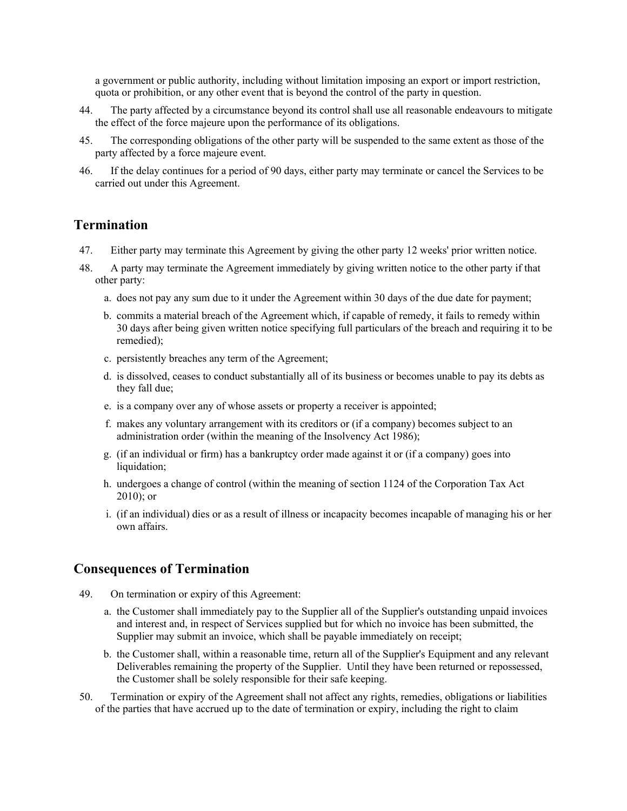a government or public authority, including without limitation imposing an export or import restriction, quota or prohibition, or any other event that is beyond the control of the party in question.

- 44. The party affected by a circumstance beyond its control shall use all reasonable endeavours to mitigate the effect of the force majeure upon the performance of its obligations.
- 45. The corresponding obligations of the other party will be suspended to the same extent as those of the party affected by a force majeure event.
- 46. If the delay continues for a period of 90 days, either party may terminate or cancel the Services to be carried out under this Agreement.

#### **Termination**

- 47. Either party may terminate this Agreement by giving the other party 12 weeks' prior written notice.
- 48. A party may terminate the Agreement immediately by giving written notice to the other party if that other party:
	- a. does not pay any sum due to it under the Agreement within 30 days of the due date for payment;
	- b. commits a material breach of the Agreement which, if capable of remedy, it fails to remedy within 30 days after being given written notice specifying full particulars of the breach and requiring it to be remedied);
	- c. persistently breaches any term of the Agreement;
	- d. is dissolved, ceases to conduct substantially all of its business or becomes unable to pay its debts as they fall due;
	- e. is a company over any of whose assets or property a receiver is appointed;
	- f. makes any voluntary arrangement with its creditors or (if a company) becomes subject to an administration order (within the meaning of the Insolvency Act 1986);
	- g. (if an individual or firm) has a bankruptcy order made against it or (if a company) goes into liquidation;
	- h. undergoes a change of control (within the meaning of section 1124 of the Corporation Tax Act 2010); or
	- i. (if an individual) dies or as a result of illness or incapacity becomes incapable of managing his or her own affairs.

#### **Consequences of Termination**

- 49. On termination or expiry of this Agreement:
	- a. the Customer shall immediately pay to the Supplier all of the Supplier's outstanding unpaid invoices and interest and, in respect of Services supplied but for which no invoice has been submitted, the Supplier may submit an invoice, which shall be payable immediately on receipt;
	- b. the Customer shall, within a reasonable time, return all of the Supplier's Equipment and any relevant Deliverables remaining the property of the Supplier. Until they have been returned or repossessed, the Customer shall be solely responsible for their safe keeping.
- 50. Termination or expiry of the Agreement shall not affect any rights, remedies, obligations or liabilities of the parties that have accrued up to the date of termination or expiry, including the right to claim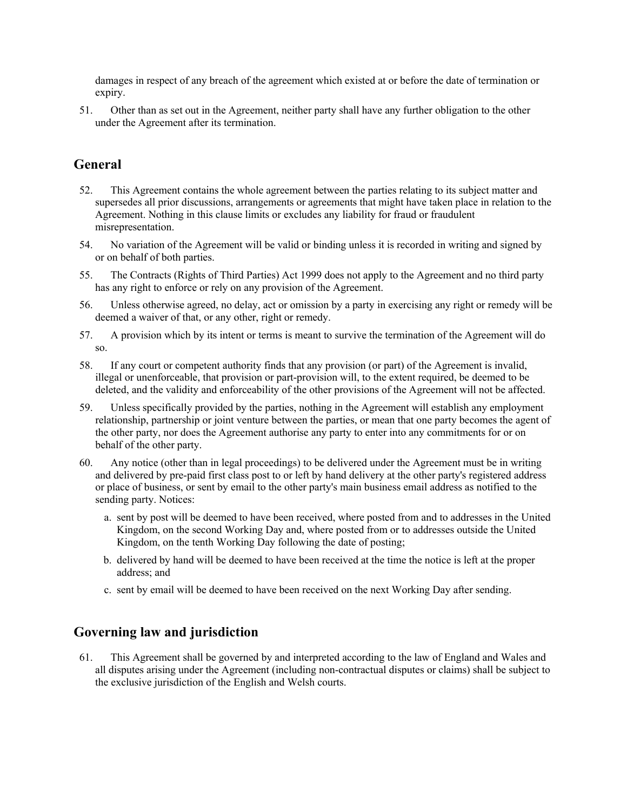damages in respect of any breach of the agreement which existed at or before the date of termination or expiry.

51. Other than as set out in the Agreement, neither party shall have any further obligation to the other under the Agreement after its termination.

## **General**

- 52. This Agreement contains the whole agreement between the parties relating to its subject matter and supersedes all prior discussions, arrangements or agreements that might have taken place in relation to the Agreement. Nothing in this clause limits or excludes any liability for fraud or fraudulent misrepresentation.
- 54. No variation of the Agreement will be valid or binding unless it is recorded in writing and signed by or on behalf of both parties.
- 55. The Contracts (Rights of Third Parties) Act 1999 does not apply to the Agreement and no third party has any right to enforce or rely on any provision of the Agreement.
- 56. Unless otherwise agreed, no delay, act or omission by a party in exercising any right or remedy will be deemed a waiver of that, or any other, right or remedy.
- 57. A provision which by its intent or terms is meant to survive the termination of the Agreement will do so.
- 58. If any court or competent authority finds that any provision (or part) of the Agreement is invalid, illegal or unenforceable, that provision or part-provision will, to the extent required, be deemed to be deleted, and the validity and enforceability of the other provisions of the Agreement will not be affected.
- 59. Unless specifically provided by the parties, nothing in the Agreement will establish any employment relationship, partnership or joint venture between the parties, or mean that one party becomes the agent of the other party, nor does the Agreement authorise any party to enter into any commitments for or on behalf of the other party.
- 60. Any notice (other than in legal proceedings) to be delivered under the Agreement must be in writing and delivered by pre-paid first class post to or left by hand delivery at the other party's registered address or place of business, or sent by email to the other party's main business email address as notified to the sending party. Notices:
	- a. sent by post will be deemed to have been received, where posted from and to addresses in the United Kingdom, on the second Working Day and, where posted from or to addresses outside the United Kingdom, on the tenth Working Day following the date of posting;
	- b. delivered by hand will be deemed to have been received at the time the notice is left at the proper address; and
	- c. sent by email will be deemed to have been received on the next Working Day after sending.

## **Governing law and jurisdiction**

61. This Agreement shall be governed by and interpreted according to the law of England and Wales and all disputes arising under the Agreement (including non-contractual disputes or claims) shall be subject to the exclusive jurisdiction of the English and Welsh courts.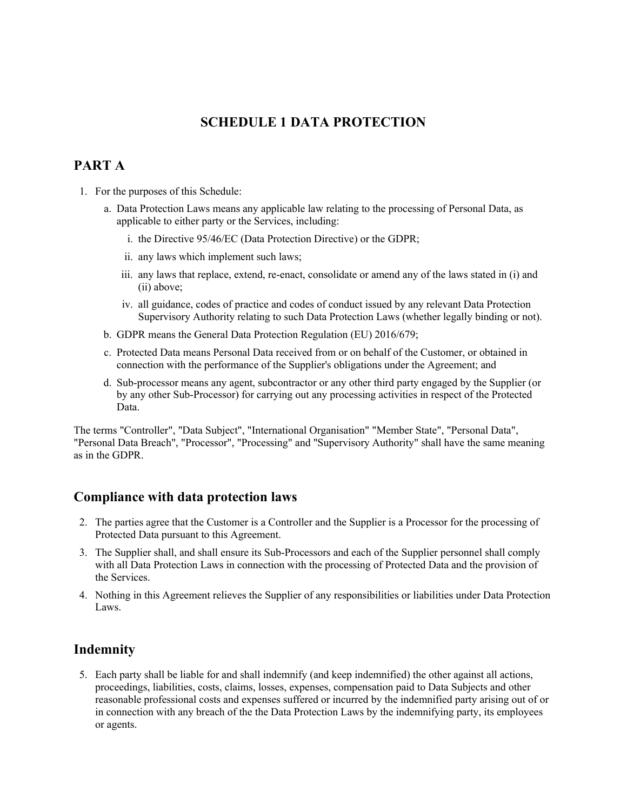# **SCHEDULE 1 DATA PROTECTION**

## **PART A**

- 1. For the purposes of this Schedule:
	- a. Data Protection Laws means any applicable law relating to the processing of Personal Data, as applicable to either party or the Services, including:
		- i. the Directive 95/46/EC (Data Protection Directive) or the GDPR;
		- ii. any laws which implement such laws;
		- iii. any laws that replace, extend, re-enact, consolidate or amend any of the laws stated in (i) and (ii) above;
		- iv. all guidance, codes of practice and codes of conduct issued by any relevant Data Protection Supervisory Authority relating to such Data Protection Laws (whether legally binding or not).
	- b. GDPR means the General Data Protection Regulation (EU) 2016/679;
	- c. Protected Data means Personal Data received from or on behalf of the Customer, or obtained in connection with the performance of the Supplier's obligations under the Agreement; and
	- d. Sub-processor means any agent, subcontractor or any other third party engaged by the Supplier (or by any other Sub-Processor) for carrying out any processing activities in respect of the Protected Data.

The terms "Controller", "Data Subject", "International Organisation" "Member State", "Personal Data", "Personal Data Breach", "Processor", "Processing" and "Supervisory Authority" shall have the same meaning as in the GDPR.

## **Compliance with data protection laws**

- 2. The parties agree that the Customer is a Controller and the Supplier is a Processor for the processing of Protected Data pursuant to this Agreement.
- 3. The Supplier shall, and shall ensure its Sub-Processors and each of the Supplier personnel shall comply with all Data Protection Laws in connection with the processing of Protected Data and the provision of the Services.
- 4. Nothing in this Agreement relieves the Supplier of any responsibilities or liabilities under Data Protection Laws.

## **Indemnity**

5. Each party shall be liable for and shall indemnify (and keep indemnified) the other against all actions, proceedings, liabilities, costs, claims, losses, expenses, compensation paid to Data Subjects and other reasonable professional costs and expenses suffered or incurred by the indemnified party arising out of or in connection with any breach of the the Data Protection Laws by the indemnifying party, its employees or agents.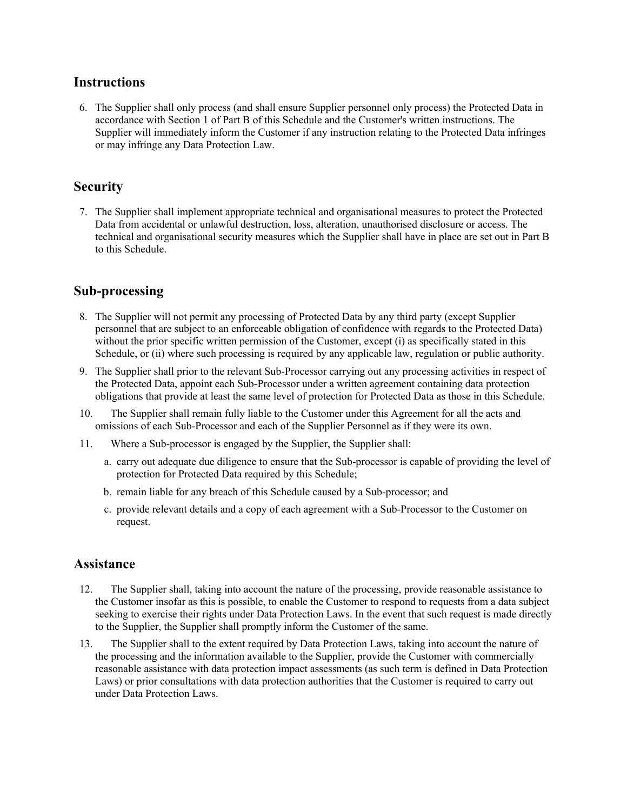#### **Instructions**

6. The Supplier shall only process (and shall ensure Supplier personnel only process) the Protected Data in accordance with Section 1 of Part B of this Schedule and the Customer's written instructions. The Supplier will immediately inform the Customer if any instruction relating to the Protected Data infringes or may infringe any Data Protection Law.

## **Security**

7. The Supplier shall implement appropriate technical and organisational measures to protect the Protected Data from accidental or unlawful destruction, loss, alteration, unauthorised disclosure or access. The technical and organisational security measures which the Supplier shall have in place are set out in Part B to this Schedule.

# **Sub-processing**

- 8. The Supplier will not permit any processing of Protected Data by any third party (except Supplier personnel that are subject to an enforceable obligation of confidence with regards to the Protected Data) without the prior specific written permission of the Customer, except (i) as specifically stated in this Schedule, or (ii) where such processing is required by any applicable law, regulation or public authority.
- 9. The Supplier shall prior to the relevant Sub-Processor carrying out any processing activities in respect of the Protected Data, appoint each Sub-Processor under a written agreement containing data protection obligations that provide at least the same level of protection for Protected Data as those in this Schedule.
- 10. The Supplier shall remain fully liable to the Customer under this Agreement for all the acts and omissions of each Sub-Processor and each of the Supplier Personnel as if they were its own.
- 11. Where a Sub-processor is engaged by the Supplier, the Supplier shall:
	- a. carry out adequate due diligence to ensure that the Sub-processor is capable of providing the level of protection for Protected Data required by this Schedule;
	- b. remain liable for any breach of this Schedule caused by a Sub-processor; and
	- c. provide relevant details and a copy of each agreement with a Sub-Processor to the Customer on request.

#### **Assistance**

- 12. The Supplier shall, taking into account the nature of the processing, provide reasonable assistance to the Customer insofar as this is possible, to enable the Customer to respond to requests from a data subject seeking to exercise their rights under Data Protection Laws. In the event that such request is made directly to the Supplier, the Supplier shall promptly inform the Customer of the same.
- 13. The Supplier shall to the extent required by Data Protection Laws, taking into account the nature of the processing and the information available to the Supplier, provide the Customer with commercially reasonable assistance with data protection impact assessments (as such term is defined in Data Protection Laws) or prior consultations with data protection authorities that the Customer is required to carry out under Data Protection Laws.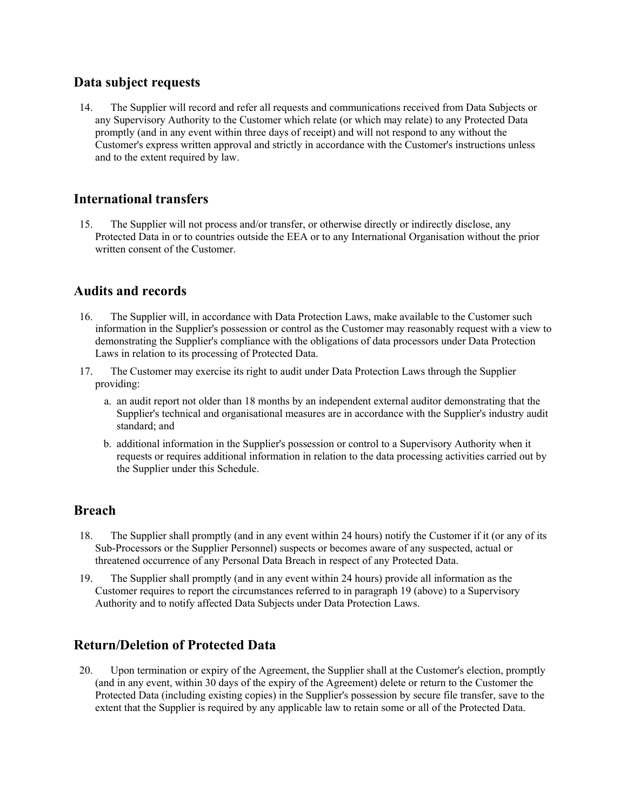#### **Data subject requests**

14. The Supplier will record and refer all requests and communications received from Data Subjects or any Supervisory Authority to the Customer which relate (or which may relate) to any Protected Data promptly (and in any event within three days of receipt) and will not respond to any without the Customer's express written approval and strictly in accordance with the Customer's instructions unless and to the extent required by law.

## **International transfers**

15. The Supplier will not process and/or transfer, or otherwise directly or indirectly disclose, any Protected Data in or to countries outside the EEA or to any International Organisation without the prior written consent of the Customer.

## **Audits and records**

- 16. The Supplier will, in accordance with Data Protection Laws, make available to the Customer such information in the Supplier's possession or control as the Customer may reasonably request with a view to demonstrating the Supplier's compliance with the obligations of data processors under Data Protection Laws in relation to its processing of Protected Data.
- 17. The Customer may exercise its right to audit under Data Protection Laws through the Supplier providing:
	- a. an audit report not older than 18 months by an independent external auditor demonstrating that the Supplier's technical and organisational measures are in accordance with the Supplier's industry audit standard; and
	- b. additional information in the Supplier's possession or control to a Supervisory Authority when it requests or requires additional information in relation to the data processing activities carried out by the Supplier under this Schedule.

## **Breach**

- 18. The Supplier shall promptly (and in any event within 24 hours) notify the Customer if it (or any of its Sub-Processors or the Supplier Personnel) suspects or becomes aware of any suspected, actual or threatened occurrence of any Personal Data Breach in respect of any Protected Data.
- 19. The Supplier shall promptly (and in any event within 24 hours) provide all information as the Customer requires to report the circumstances referred to in paragraph 19 (above) to a Supervisory Authority and to notify affected Data Subjects under Data Protection Laws.

## **Return/Deletion of Protected Data**

20. Upon termination or expiry of the Agreement, the Supplier shall at the Customer's election, promptly (and in any event, within 30 days of the expiry of the Agreement) delete or return to the Customer the Protected Data (including existing copies) in the Supplier's possession by secure file transfer, save to the extent that the Supplier is required by any applicable law to retain some or all of the Protected Data.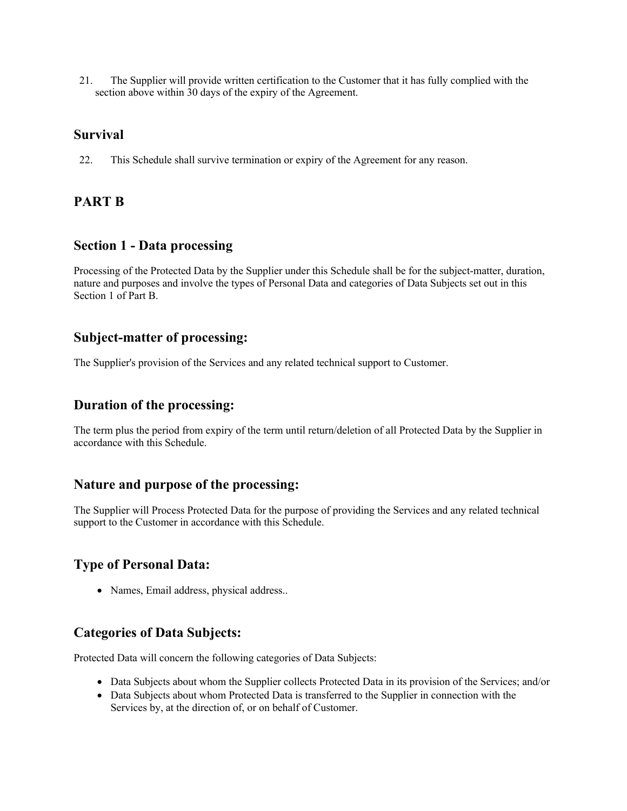21. The Supplier will provide written certification to the Customer that it has fully complied with the section above within 30 days of the expiry of the Agreement.

#### **Survival**

22. This Schedule shall survive termination or expiry of the Agreement for any reason.

# **PART B**

#### **Section 1 - Data processing**

Processing of the Protected Data by the Supplier under this Schedule shall be for the subject-matter, duration, nature and purposes and involve the types of Personal Data and categories of Data Subjects set out in this Section 1 of Part B.

## **Subject-matter of processing:**

The Supplier's provision of the Services and any related technical support to Customer.

#### **Duration of the processing:**

The term plus the period from expiry of the term until return/deletion of all Protected Data by the Supplier in accordance with this Schedule.

## **Nature and purpose of the processing:**

The Supplier will Process Protected Data for the purpose of providing the Services and any related technical support to the Customer in accordance with this Schedule.

## **Type of Personal Data:**

• Names, Email address, physical address..

## **Categories of Data Subjects:**

Protected Data will concern the following categories of Data Subjects:

- Data Subjects about whom the Supplier collects Protected Data in its provision of the Services; and/or
- Data Subjects about whom Protected Data is transferred to the Supplier in connection with the Services by, at the direction of, or on behalf of Customer.